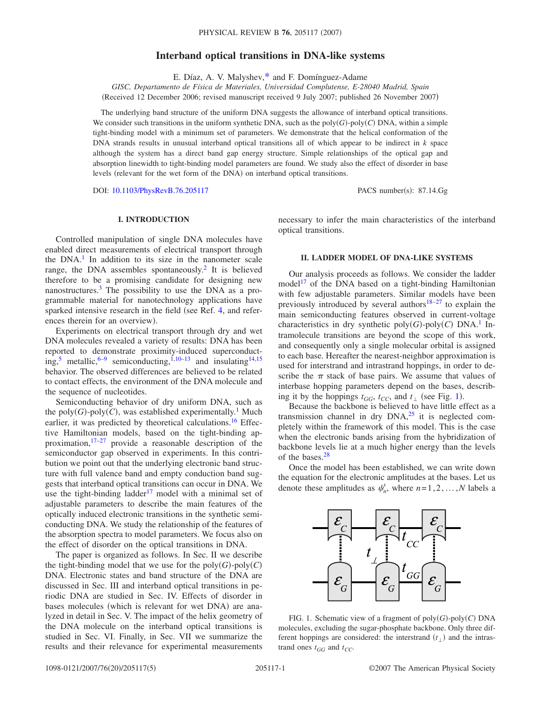# **Interband optical transitions in DNA-like systems**

E. Díaz, A. V. Malyshev[,\\*](#page-3-0) and F. Domínguez-Adame

*GISC, Departamento de Física de Materiales, Universidad Complutense, E-28040 Madrid, Spain*

(Received 12 December 2006; revised manuscript received 9 July 2007; published 26 November 2007)

The underlying band structure of the uniform DNA suggests the allowance of interband optical transitions. We consider such transitions in the uniform synthetic DNA, such as the  $poly(G)$ -poly $(C)$  DNA, within a simple tight-binding model with a minimum set of parameters. We demonstrate that the helical conformation of the DNA strands results in unusual interband optical transitions all of which appear to be indirect in *k* space although the system has a direct band gap energy structure. Simple relationships of the optical gap and absorption linewidth to tight-binding model parameters are found. We study also the effect of disorder in base levels (relevant for the wet form of the DNA) on interband optical transitions.

DOI: [10.1103/PhysRevB.76.205117](http://dx.doi.org/10.1103/PhysRevB.76.205117)

PACS number(s): 87.14.Gg

## **I. INTRODUCTION**

Controlled manipulation of single DNA molecules have enabled direct measurements of electrical transport through the  $DNA<sup>1</sup>$  In addition to its size in the nanometer scale range, the DNA assembles spontaneously.<sup>2</sup> It is believed therefore to be a promising candidate for designing new nanostructures.<sup>3</sup> The possibility to use the DNA as a programmable material for nanotechnology applications have sparked intensive research in the field (see Ref. [4,](#page-3-4) and references therein for an overview).

Experiments on electrical transport through dry and wet DNA molecules revealed a variety of results: DNA has been reported to demonstrate proximity-induced superconduct-ing,<sup>5</sup> metallic,<sup>6–[9](#page-3-7)</sup> semiconducting,<sup>1,[10](#page-3-8)[–13](#page-3-9)</sup> and insulating<sup>14,[15](#page-3-11)</sup> behavior. The observed differences are believed to be related to contact effects, the environment of the DNA molecule and the sequence of nucleotides.

Semiconducting behavior of dry uniform DNA, such as the  $poly(G)$ - $poly(C)$ , was established experimentally.<sup>1</sup> Much earlier, it was predicted by theoretical calculations.<sup>16</sup> Effective Hamiltonian models, based on the tight-binding approximation, $17-27$  provide a reasonable description of the semiconductor gap observed in experiments. In this contribution we point out that the underlying electronic band structure with full valence band and empty conduction band suggests that interband optical transitions can occur in DNA. We use the tight-binding ladder<sup>17</sup> model with a minimal set of adjustable parameters to describe the main features of the optically induced electronic transitions in the synthetic semiconducting DNA. We study the relationship of the features of the absorption spectra to model parameters. We focus also on the effect of disorder on the optical transitions in DNA.

The paper is organized as follows. In Sec. II we describe the tight-binding model that we use for the  $poly(G)$ - $poly(C)$ DNA. Electronic states and band structure of the DNA are discussed in Sec. III and interband optical transitions in periodic DNA are studied in Sec. IV. Effects of disorder in bases molecules (which is relevant for wet DNA) are analyzed in detail in Sec. V. The impact of the helix geometry of the DNA molecule on the interband optical transitions is studied in Sec. VI. Finally, in Sec. VII we summarize the results and their relevance for experimental measurements necessary to infer the main characteristics of the interband optical transitions.

### **II. LADDER MODEL OF DNA-LIKE SYSTEMS**

Our analysis proceeds as follows. We consider the ladder model<sup>17</sup> of the DNA based on a tight-binding Hamiltonian with few adjustable parameters. Similar models have been previously introduced by several authors<sup>18[–27](#page-4-2)</sup> to explain the main semiconducting features observed in current-voltage characteristics in dry synthetic  $poly(G)$ - $poly(C)$  DNA.<sup>1</sup> Intramolecule transitions are beyond the scope of this work, and consequently only a single molecular orbital is assigned to each base. Hereafter the nearest-neighbor approximation is used for interstrand and intrastrand hoppings, in order to describe the  $\pi$  stack of base pairs. We assume that values of interbase hopping parameters depend on the bases, describing it by the hoppings  $t_{GG}$ ,  $t_{CC}$ , and  $t_{\perp}$  (see Fig. [1](#page-0-0)).

Because the backbone is believed to have little effect as a transmission channel in dry  $DNA<sub>1</sub><sup>25</sup>$  it is neglected completely within the framework of this model. This is the case when the electronic bands arising from the hybridization of backbone levels lie at a much higher energy than the levels of the bases.<sup>28</sup>

Once the model has been established, we can write down the equation for the electronic amplitudes at the bases. Let us denote these amplitudes as  $\psi_n^s$ , where  $n=1,2,\ldots,N$  labels a

<span id="page-0-0"></span>

FIG. 1. Schematic view of a fragment of  $poly(G)$ -poly $(C)$  DNA molecules, excluding the sugar-phosphate backbone. Only three different hoppings are considered: the interstrand  $(t_{\perp})$  and the intrastrand ones  $t_{GG}$  and  $t_{CC}$ .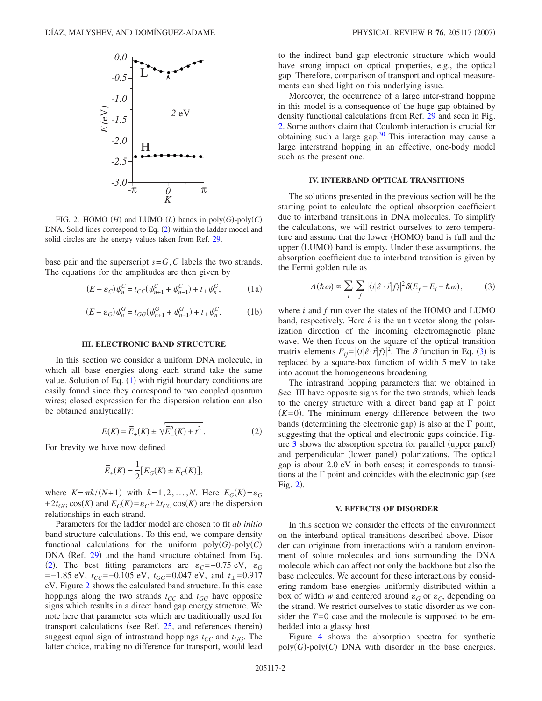<span id="page-1-2"></span>

FIG. 2. HOMO  $(H)$  and LUMO  $(L)$  bands in  $\text{poly}(G)\text{-}\text{poly}(C)$ DNA. Solid lines correspond to Eq.  $(2)$  $(2)$  $(2)$  within the ladder model and solid circles are the energy values taken from Ref. [29.](#page-4-6)

<span id="page-1-0"></span>base pair and the superscript  $s = G, C$  labels the two strands. The equations for the amplitudes are then given by

$$
(E - \varepsilon_C) \psi_n^C = t_{CC} (\psi_{n+1}^C + \psi_{n-1}^C) + t_{\perp} \psi_n^G, \tag{1a}
$$

$$
(E - \varepsilon_G) \psi_n^G = t_{GG} (\psi_{n+1}^G + \psi_{n-1}^G) + t_\perp \psi_n^C.
$$
 (1b)

#### **III. ELECTRONIC BAND STRUCTURE**

In this section we consider a uniform DNA molecule, in which all base energies along each strand take the same value. Solution of Eq. ([1](#page-1-0)) with rigid boundary conditions are easily found since they correspond to two coupled quantum wires; closed expression for the dispersion relation can also be obtained analytically:

$$
E(K) = \overline{E}_+(K) \pm \sqrt{\overline{E}_-^2(K) + t_\perp^2}.
$$
 (2)

<span id="page-1-1"></span>For brevity we have now defined

$$
\overline{E}_{\pm}(K) = \frac{1}{2} [E_G(K) \pm E_C(K)],
$$

where  $K = \pi k / (N+1)$  with  $k = 1, 2, ..., N$ . Here  $E_G(K) = \varepsilon_G$ +  $2t_{GG}\cos(K)$  and  $E_C(K) = \varepsilon_C + 2t_{CC}\cos(K)$  are the dispersion relationships in each strand.

Parameters for the ladder model are chosen to fit *ab initio* band structure calculations. To this end, we compare density functional calculations for the uniform  $poly(G)$ - $poly(C)$ DNA (Ref. [29](#page-4-6)) and the band structure obtained from Eq. ([2](#page-1-1)). The best fitting parameters are  $\varepsilon_c$ =−0.75 eV,  $\varepsilon_G$  $=-1.85$  eV,  $t_{CC}=-0.105$  eV,  $t_{GG}=0.047$  eV, and  $t_{\perp}=0.917$ eV. Figure [2](#page-1-2) shows the calculated band structure. In this case hoppings along the two strands  $t_{CC}$  and  $t_{GG}$  have opposite signs which results in a direct band gap energy structure. We note here that parameter sets which are traditionally used for transport calculations (see Ref.  $25$ , and references therein) suggest equal sign of intrastrand hoppings  $t_{CC}$  and  $t_{GG}$ . The latter choice, making no difference for transport, would lead to the indirect band gap electronic structure which would have strong impact on optical properties, e.g., the optical gap. Therefore, comparison of transport and optical measurements can shed light on this underlying issue.

Moreover, the occurrence of a large inter-strand hopping in this model is a consequence of the huge gap obtained by density functional calculations from Ref. [29](#page-4-6) and seen in Fig. [2.](#page-1-2) Some authors claim that Coulomb interaction is crucial for obtaining such a large gap. $30$  This interaction may cause a large interstrand hopping in an effective, one-body model such as the present one.

### **IV. INTERBAND OPTICAL TRANSITIONS**

The solutions presented in the previous section will be the starting point to calculate the optical absorption coefficient due to interband transitions in DNA molecules. To simplify the calculations, we will restrict ourselves to zero temperature and assume that the lower (HOMO) band is full and the upper (LUMO) band is empty. Under these assumptions, the absorption coefficient due to interband transition is given by the Fermi golden rule as

$$
A(\hbar \omega) \propto \sum_{i} \sum_{f} |\langle i|\hat{e} \cdot \vec{r}|f\rangle|^2 \delta(E_f - E_i - \hbar \omega), \tag{3}
$$

<span id="page-1-3"></span>where *i* and *f* run over the states of the HOMO and LUMO band, respectively. Here  $\hat{e}$  is the unit vector along the polarization direction of the incoming electromagnetic plane wave. We then focus on the square of the optical transition matrix elements  $F_{ij} = |\langle i|\hat{e} \cdot \vec{r}|f\rangle|^2$ . The  $\delta$  function in Eq. ([3](#page-1-3)) is replaced by a square-box function of width 5 meV to take into acount the homogeneous broadening.

The intrastrand hopping parameters that we obtained in Sec. III have opposite signs for the two strands, which leads to the energy structure with a direct band gap at  $\Gamma$  point  $(K=0)$ . The minimum energy difference between the two bands (determining the electronic gap) is also at the  $\Gamma$  point, suggesting that the optical and electronic gaps coincide. Fig-ure [3](#page-2-0) shows the absorption spectra for parallel (upper panel) and perpendicular (lower panel) polarizations. The optical gap is about 2.0 eV in both cases; it corresponds to transitions at the  $\Gamma$  point and coincides with the electronic gap (see Fig.  $2$ ).

#### **V. EFFECTS OF DISORDER**

In this section we consider the effects of the environment on the interband optical transitions described above. Disorder can originate from interactions with a random environment of solute molecules and ions surrounding the DNA molecule which can affect not only the backbone but also the base molecules. We account for these interactions by considering random base energies uniformly distributed within a box of width *w* and centered around  $\varepsilon_G$  or  $\varepsilon_C$ , depending on the strand. We restrict ourselves to static disorder as we consider the *T*=0 case and the molecule is supposed to be embedded into a glassy host.

Figure [4](#page-2-1) shows the absorption spectra for synthetic  $poly(G)$ - $poly(C)$  DNA with disorder in the base energies.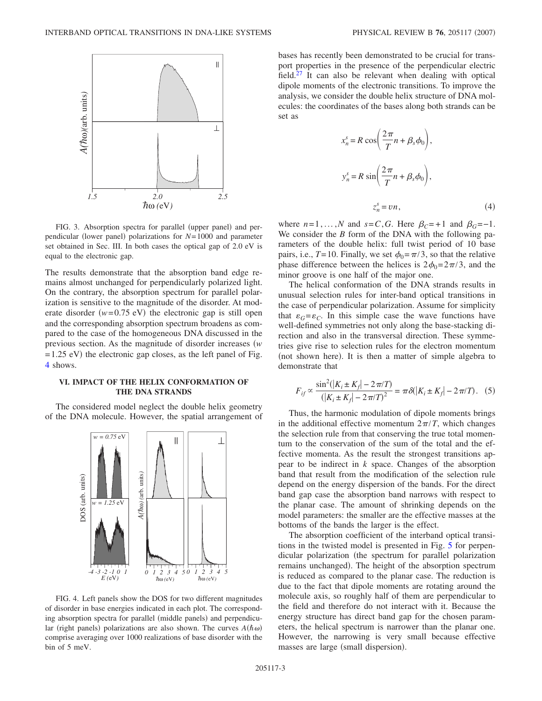<span id="page-2-0"></span>

FIG. 3. Absorption spectra for parallel (upper panel) and perpendicular (lower panel) polarizations for  $N=1000$  and parameter set obtained in Sec. III. In both cases the optical gap of 2.0 eV is equal to the electronic gap.

The results demonstrate that the absorption band edge remains almost unchanged for perpendicularly polarized light. On the contrary, the absorption spectrum for parallel polarization is sensitive to the magnitude of the disorder. At moderate disorder  $(w=0.75 \text{ eV})$  the electronic gap is still open and the corresponding absorption spectrum broadens as compared to the case of the homogeneous DNA discussed in the previous section. As the magnitude of disorder increases *w*  $=1.25$  eV) the electronic gap closes, as the left panel of Fig. [4](#page-2-1) shows.

### **VI. IMPACT OF THE HELIX CONFORMATION OF THE DNA STRANDS**

<span id="page-2-1"></span>The considered model neglect the double helix geometry of the DNA molecule. However, the spatial arrangement of



FIG. 4. Left panels show the DOS for two different magnitudes of disorder in base energies indicated in each plot. The corresponding absorption spectra for parallel (middle panels) and perpendicular (right panels) polarizations are also shown. The curves  $A(h\omega)$ comprise averaging over 1000 realizations of base disorder with the bin of 5 meV.

bases has recently been demonstrated to be crucial for transport properties in the presence of the perpendicular electric field. $27$  It can also be relevant when dealing with optical dipole moments of the electronic transitions. To improve the analysis, we consider the double helix structure of DNA molecules: the coordinates of the bases along both strands can be set as

*xn*

$$
x_n^s = R \cos\left(\frac{2\pi}{T}n + \beta_s \phi_0\right),
$$
  

$$
y_n^s = R \sin\left(\frac{2\pi}{T}n + \beta_s \phi_0\right),
$$
  

$$
z_n^s = \nu n,
$$
 (4)

where  $n=1,\ldots,N$  and  $s=C,G$ . Here  $\beta_C=+1$  and  $\beta_G=-1$ . We consider the *B* form of the DNA with the following parameters of the double helix: full twist period of 10 base pairs, i.e.,  $T=10$ . Finally, we set  $\phi_0 = \pi/3$ , so that the relative phase difference between the helices is  $2\phi_0 = 2\pi/3$ , and the minor groove is one half of the major one.

The helical conformation of the DNA strands results in unusual selection rules for inter-band optical transitions in the case of perpendicular polarization. Assume for simplicity that  $\varepsilon_G = \varepsilon_C$ . In this simple case the wave functions have well-defined symmetries not only along the base-stacking direction and also in the transversal direction. These symmetries give rise to selection rules for the electron momentum (not shown here). It is then a matter of simple algebra to demonstrate that

$$
F_{if} \propto \frac{\sin^2(|K_i \pm K_f| - 2\pi/T)}{(|K_i \pm K_f| - 2\pi/T)^2} = \pi \delta(|K_i \pm K_f| - 2\pi/T). \quad (5)
$$

Thus, the harmonic modulation of dipole moments brings in the additional effective momentum  $2\pi/T$ , which changes the selection rule from that conserving the true total momentum to the conservation of the sum of the total and the effective momenta. As the result the strongest transitions appear to be indirect in *k* space. Changes of the absorption band that result from the modification of the selection rule depend on the energy dispersion of the bands. For the direct band gap case the absorption band narrows with respect to the planar case. The amount of shrinking depends on the model parameters: the smaller are the effective masses at the bottoms of the bands the larger is the effect.

The absorption coefficient of the interband optical transitions in the twisted model is presented in Fig. [5](#page-3-12) for perpendicular polarization (the spectrum for parallel polarization remains unchanged). The height of the absorption spectrum is reduced as compared to the planar case. The reduction is due to the fact that dipole moments are rotating around the molecule axis, so roughly half of them are perpendicular to the field and therefore do not interact with it. Because the energy structure has direct band gap for the chosen parameters, the helical spectrum is narrower than the planar one. However, the narrowing is very small because effective masses are large (small dispersion).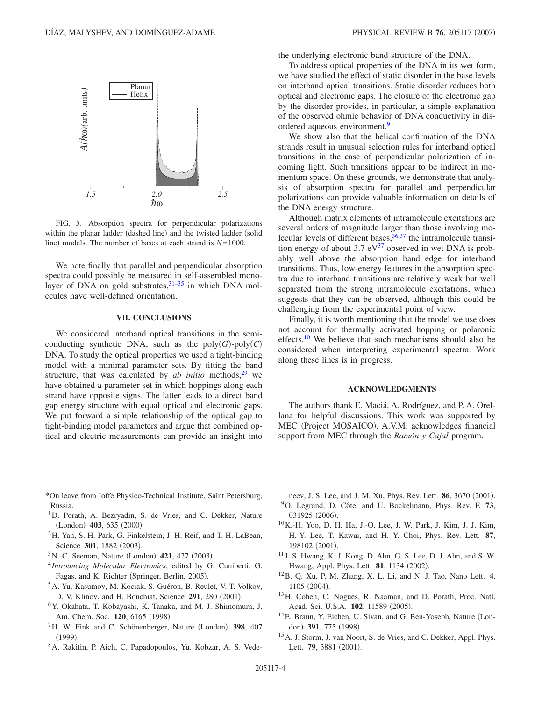<span id="page-3-12"></span>

FIG. 5. Absorption spectra for perpendicular polarizations within the planar ladder (dashed line) and the twisted ladder (solid line) models. The number of bases at each strand is  $N=1000$ .

We note finally that parallel and perpendicular absorption spectra could possibly be measured in self-assembled monolayer of DNA on gold substrates,  $31-35$  $31-35$  in which DNA molecules have well-defined orientation.

#### **VII. CONCLUSIONS**

We considered interband optical transitions in the semiconducting synthetic DNA, such as the  $poly(G)$ - $poly(C)$ DNA. To study the optical properties we used a tight-binding model with a minimal parameter sets. By fitting the band structure, that was calculated by  $ab$  *initio* methods,  $29$  we have obtained a parameter set in which hoppings along each strand have opposite signs. The latter leads to a direct band gap energy structure with equal optical and electronic gaps. We put forward a simple relationship of the optical gap to tight-binding model parameters and argue that combined optical and electric measurements can provide an insight into the underlying electronic band structure of the DNA.

To address optical properties of the DNA in its wet form, we have studied the effect of static disorder in the base levels on interband optical transitions. Static disorder reduces both optical and electronic gaps. The closure of the electronic gap by the disorder provides, in particular, a simple explanation of the observed ohmic behavior of DNA conductivity in disordered aqueous environment.<sup>9</sup>

We show also that the helical confirmation of the DNA strands result in unusual selection rules for interband optical transitions in the case of perpendicular polarization of incoming light. Such transitions appear to be indirect in momentum space. On these grounds, we demonstrate that analysis of absorption spectra for parallel and perpendicular polarizations can provide valuable information on details of the DNA energy structure.

Although matrix elements of intramolecule excitations are several orders of magnitude larger than those involving molecular levels of different bases,  $36,37$  $36,37$  the intramolecule transition energy of about 3.7  $eV^{37}$  observed in wet DNA is probably well above the absorption band edge for interband transitions. Thus, low-energy features in the absorption spectra due to interband transitions are relatively weak but well separated from the strong intramolecule excitations, which suggests that they can be observed, although this could be challenging from the experimental point of view.

Finally, it is worth mentioning that the model we use does not account for thermally activated hopping or polaronic effects.<sup>10</sup> We believe that such mechanisms should also be considered when interpreting experimental spectra. Work along these lines is in progress.

#### **ACKNOWLEDGMENTS**

The authors thank E. Maciá, A. Rodríguez, and P. A. Orellana for helpful discussions. This work was supported by MEC (Project MOSAICO). A.V.M. acknowledges financial support from MEC through the *Ramón y Cajal* program.

- <span id="page-3-0"></span>\*On leave from Ioffe Physico-Technical Institute, Saint Petersburg, Russia.
- <span id="page-3-1"></span><sup>1</sup>D. Porath, A. Bezryadin, S. de Vries, and C. Dekker, Nature (London) 403, 635 (2000).
- <span id="page-3-2"></span>2H. Yan, S. H. Park, G. Finkelstein, J. H. Reif, and T. H. LaBean, Science 301, 1882 (2003).
- <span id="page-3-3"></span><sup>3</sup> N. C. Seeman, Nature (London) **421**, 427 (2003).
- <span id="page-3-4"></span><sup>4</sup> *Introducing Molecular Electronics*, edited by G. Cuniberti, G. Fagas, and K. Richter (Springer, Berlin, 2005).
- <span id="page-3-5"></span>5A. Yu. Kasumov, M. Kociak, S. Guéron, B. Reulet, V. T. Volkov, D. V. Klinov, and H. Bouchiat, Science 291, 280 (2001).
- <span id="page-3-6"></span>6Y. Okahata, T. Kobayashi, K. Tanaka, and M. J. Shimomura, J. Am. Chem. Soc. 120, 6165 (1998).
- <sup>7</sup>H. W. Fink and C. Schönenberger, Nature (London) 398, 407  $(1999).$
- 8A. Rakitin, P. Aich, C. Papadopoulos, Yu. Kobzar, A. S. Vede-

<span id="page-3-7"></span>neev, J. S. Lee, and J. M. Xu, Phys. Rev. Lett. **86**, 3670 (2001). 9O. Legrand, D. Côte, and U. Bockelmann, Phys. Rev. E **73**, 031925 (2006).

- <span id="page-3-8"></span>10K.-H. Yoo, D. H. Ha, J.-O. Lee, J. W. Park, J. Kim, J. J. Kim, H.-Y. Lee, T. Kawai, and H. Y. Choi, Phys. Rev. Lett. **87**, 198102 (2001).
- <sup>11</sup> J. S. Hwang, K. J. Kong, D. Ahn, G. S. Lee, D. J. Ahn, and S. W. Hwang, Appl. Phys. Lett. **81**, 1134 (2002).
- 12B. Q. Xu, P. M. Zhang, X. L. Li, and N. J. Tao, Nano Lett. **4**, 1105 (2004).
- <span id="page-3-9"></span>13H. Cohen, C. Nogues, R. Naaman, and D. Porath, Proc. Natl. Acad. Sci. U.S.A. 102, 11589 (2005).
- <span id="page-3-10"></span><sup>14</sup>E. Braun, Y. Eichen, U. Sivan, and G. Ben-Yoseph, Nature (London) 391, 775 (1998).
- <span id="page-3-11"></span><sup>15</sup> A. J. Storm, J. van Noort, S. de Vries, and C. Dekker, Appl. Phys. Lett. **79**, 3881 (2001).